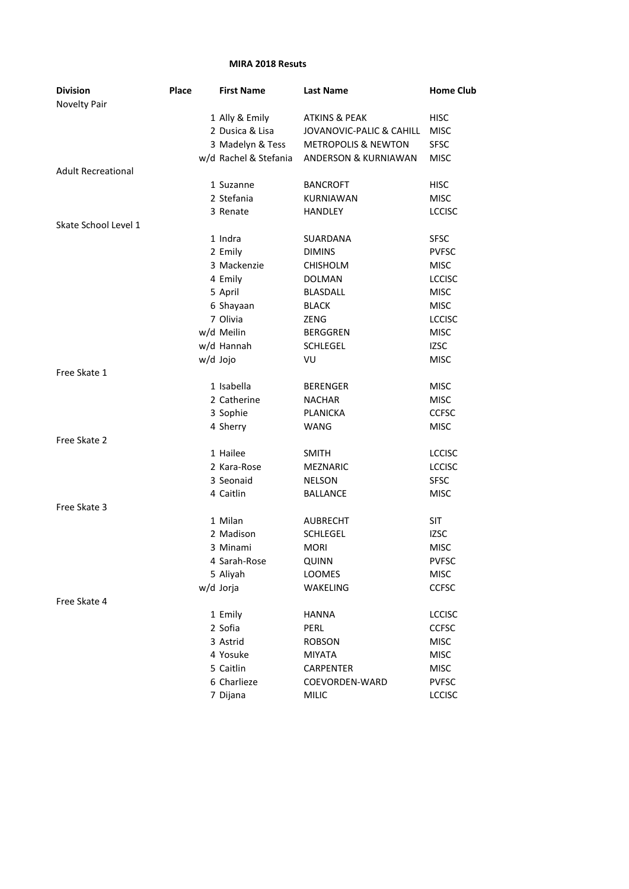## **MIRA 2018 Resuts**

| <b>Division</b>           | Place | <b>First Name</b>     | <b>Last Name</b>               | <b>Home Club</b> |
|---------------------------|-------|-----------------------|--------------------------------|------------------|
| Novelty Pair              |       |                       |                                |                  |
|                           |       | 1 Ally & Emily        | <b>ATKINS &amp; PEAK</b>       | <b>HISC</b>      |
|                           |       | 2 Dusica & Lisa       | JOVANOVIC-PALIC & CAHILL       | <b>MISC</b>      |
|                           |       | 3 Madelyn & Tess      | <b>METROPOLIS &amp; NEWTON</b> | <b>SFSC</b>      |
|                           |       | w/d Rachel & Stefania | ANDERSON & KURNIAWAN           | <b>MISC</b>      |
| <b>Adult Recreational</b> |       |                       |                                |                  |
|                           |       | 1 Suzanne             | <b>BANCROFT</b>                | <b>HISC</b>      |
|                           |       | 2 Stefania            | KURNIAWAN                      | <b>MISC</b>      |
|                           |       | 3 Renate              | HANDLEY                        | <b>LCCISC</b>    |
| Skate School Level 1      |       |                       |                                |                  |
|                           |       | 1 Indra               | SUARDANA                       | <b>SFSC</b>      |
|                           |       | 2 Emily               | <b>DIMINS</b>                  | <b>PVFSC</b>     |
|                           |       | 3 Mackenzie           | <b>CHISHOLM</b>                | <b>MISC</b>      |
|                           |       | 4 Emily               | <b>DOLMAN</b>                  | <b>LCCISC</b>    |
|                           |       | 5 April               | <b>BLASDALL</b>                | <b>MISC</b>      |
|                           |       | 6 Shayaan             | <b>BLACK</b>                   | <b>MISC</b>      |
|                           |       | 7 Olivia              | <b>ZENG</b>                    | <b>LCCISC</b>    |
|                           |       | w/d Meilin            | <b>BERGGREN</b>                | <b>MISC</b>      |
|                           |       | w/d Hannah            | <b>SCHLEGEL</b>                | <b>IZSC</b>      |
|                           |       | w/d Jojo              | VU                             | <b>MISC</b>      |
| Free Skate 1              |       |                       |                                |                  |
|                           |       | 1 Isabella            | <b>BERENGER</b>                | <b>MISC</b>      |
|                           |       | 2 Catherine           | <b>NACHAR</b>                  | <b>MISC</b>      |
|                           |       | 3 Sophie              | PLANICKA                       | <b>CCFSC</b>     |
|                           |       | 4 Sherry              | <b>WANG</b>                    | <b>MISC</b>      |
| Free Skate 2              |       |                       |                                |                  |
|                           |       | 1 Hailee              | <b>SMITH</b>                   | <b>LCCISC</b>    |
|                           |       | 2 Kara-Rose           | <b>MEZNARIC</b>                | <b>LCCISC</b>    |
|                           |       | 3 Seonaid             | <b>NELSON</b>                  | <b>SFSC</b>      |
|                           |       | 4 Caitlin             | <b>BALLANCE</b>                | <b>MISC</b>      |
| Free Skate 3              |       |                       |                                |                  |
|                           |       | 1 Milan               | AUBRECHT                       | <b>SIT</b>       |
|                           |       | 2 Madison             | <b>SCHLEGEL</b>                | <b>IZSC</b>      |
|                           |       | 3 Minami              | <b>MORI</b>                    | <b>MISC</b>      |
|                           |       | 4 Sarah-Rose          | QUINN                          | <b>PVFSC</b>     |
|                           |       | 5 Aliyah              | LOOMES                         | <b>MISC</b>      |
|                           |       | w/d Jorja             | WAKELING                       | <b>CCFSC</b>     |
| Free Skate 4              |       |                       |                                |                  |
|                           |       | 1 Emily               | <b>HANNA</b>                   | <b>LCCISC</b>    |
|                           |       | 2 Sofia               | <b>PERL</b>                    | <b>CCFSC</b>     |
|                           |       | 3 Astrid              | <b>ROBSON</b>                  | <b>MISC</b>      |
|                           |       | 4 Yosuke              | <b>MIYATA</b>                  | <b>MISC</b>      |
|                           |       | 5 Caitlin             | CARPENTER                      | <b>MISC</b>      |
|                           |       | 6 Charlieze           | COEVORDEN-WARD                 | <b>PVFSC</b>     |
|                           |       | 7 Dijana              | <b>MILIC</b>                   | <b>LCCISC</b>    |